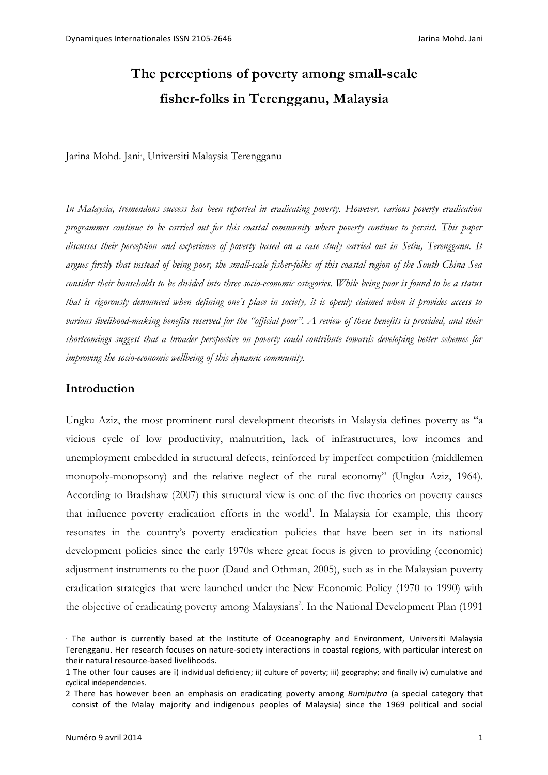# **The perceptions of poverty among small-scale fisher-folks in Terengganu, Malaysia**

Jarina Mohd. Jani<sup>∗</sup> , Universiti Malaysia Terengganu

*In Malaysia, tremendous success has been reported in eradicating poverty. However, various poverty eradication programmes continue to be carried out for this coastal community where poverty continue to persist. This paper discusses their perception and experience of poverty based on a case study carried out in Setiu, Terengganu. It argues firstly that instead of being poor, the small-scale fisher-folks of this coastal region of the South China Sea consider their households to be divided into three socio-economic categories. While being poor is found to be a status that is rigorously denounced when defining one's place in society, it is openly claimed when it provides access to various livelihood-making benefits reserved for the "official poor". A review of these benefits is provided, and their shortcomings suggest that a broader perspective on poverty could contribute towards developing better schemes for improving the socio-economic wellbeing of this dynamic community.*

# **Introduction**

Ungku Aziz, the most prominent rural development theorists in Malaysia defines poverty as "a vicious cycle of low productivity, malnutrition, lack of infrastructures, low incomes and unemployment embedded in structural defects, reinforced by imperfect competition (middlemen monopoly-monopsony) and the relative neglect of the rural economy" (Ungku Aziz, 1964). According to Bradshaw (2007) this structural view is one of the five theories on poverty causes that influence poverty eradication efforts in the world<sup>1</sup>. In Malaysia for example, this theory resonates in the country's poverty eradication policies that have been set in its national development policies since the early 1970s where great focus is given to providing (economic) adjustment instruments to the poor (Daud and Othman, 2005), such as in the Malaysian poverty eradication strategies that were launched under the New Economic Policy (1970 to 1990) with the objective of eradicating poverty among Malaysians<sup>2</sup>. In the National Development Plan (1991

 $\overline{a}$ 

<sup>∗</sup> The author is currently based at the Institute of Oceanography and Environment, Universiti Malaysia Terengganu. Her research focuses on nature-society interactions in coastal regions, with particular interest on their natural resource-based livelihoods.

<sup>1</sup> The other four causes are i) individual deficiency; ii) culture of poverty; iii) geography; and finally iv) cumulative and cyclical independencies.

<sup>2</sup> There has however been an emphasis on eradicating poverty among *Bumiputra* (a special category that consist of the Malay majority and indigenous peoples of Malaysia) since the 1969 political and social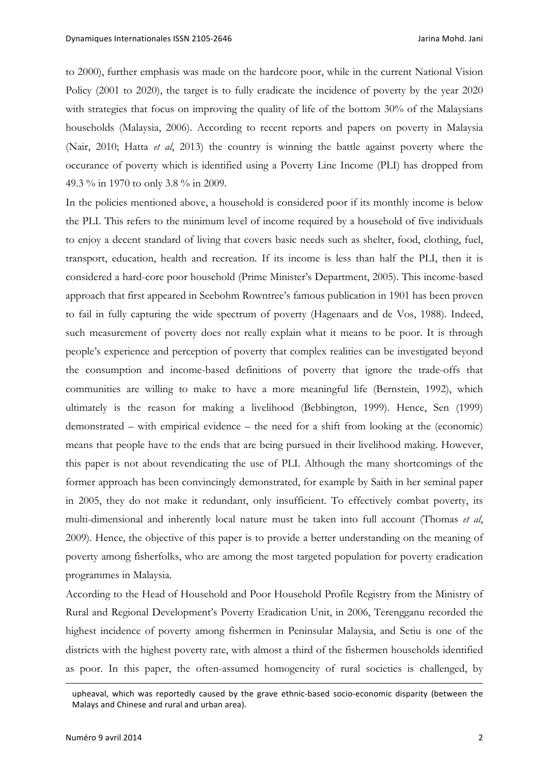to 2000), further emphasis was made on the hardcore poor, while in the current National Vision Policy (2001 to 2020), the target is to fully eradicate the incidence of poverty by the year 2020 with strategies that focus on improving the quality of life of the bottom 30% of the Malaysians households (Malaysia, 2006). According to recent reports and papers on poverty in Malaysia (Nair, 2010; Hatta *et al*, 2013) the country is winning the battle against poverty where the occurance of poverty which is identified using a Poverty Line Income (PLI) has dropped from 49.3 % in 1970 to only 3.8 % in 2009.

In the policies mentioned above, a household is considered poor if its monthly income is below the PLI. This refers to the minimum level of income required by a household of five individuals to enjoy a decent standard of living that covers basic needs such as shelter, food, clothing, fuel, transport, education, health and recreation. If its income is less than half the PLI, then it is considered a hard-core poor household (Prime Minister's Department, 2005). This income-based approach that first appeared in Seebohm Rowntree's famous publication in 1901 has been proven to fail in fully capturing the wide spectrum of poverty (Hagenaars and de Vos, 1988). Indeed, such measurement of poverty does not really explain what it means to be poor. It is through people's experience and perception of poverty that complex realities can be investigated beyond the consumption and income-based definitions of poverty that ignore the trade-offs that communities are willing to make to have a more meaningful life (Bernstein, 1992), which ultimately is the reason for making a livelihood (Bebbington, 1999). Hence, Sen (1999) demonstrated – with empirical evidence – the need for a shift from looking at the (economic) means that people have to the ends that are being pursued in their livelihood making. However, this paper is not about revendicating the use of PLI. Although the many shortcomings of the former approach has been convincingly demonstrated, for example by Saith in her seminal paper in 2005, they do not make it redundant, only insufficient. To effectively combat poverty, its multi-dimensional and inherently local nature must be taken into full account (Thomas *et al*, 2009). Hence, the objective of this paper is to provide a better understanding on the meaning of poverty among fisherfolks, who are among the most targeted population for poverty eradication programmes in Malaysia.

According to the Head of Household and Poor Household Profile Registry from the Ministry of Rural and Regional Development's Poverty Eradication Unit, in 2006, Terengganu recorded the highest incidence of poverty among fishermen in Peninsular Malaysia, and Setiu is one of the districts with the highest poverty rate, with almost a third of the fishermen households identified as poor. In this paper, the often-assumed homogeneity of rural societies is challenged, by

 $\overline{\phantom{a}}$ 

upheaval, which was reportedly caused by the grave ethnic-based socio-economic disparity (between the Malays and Chinese and rural and urban area).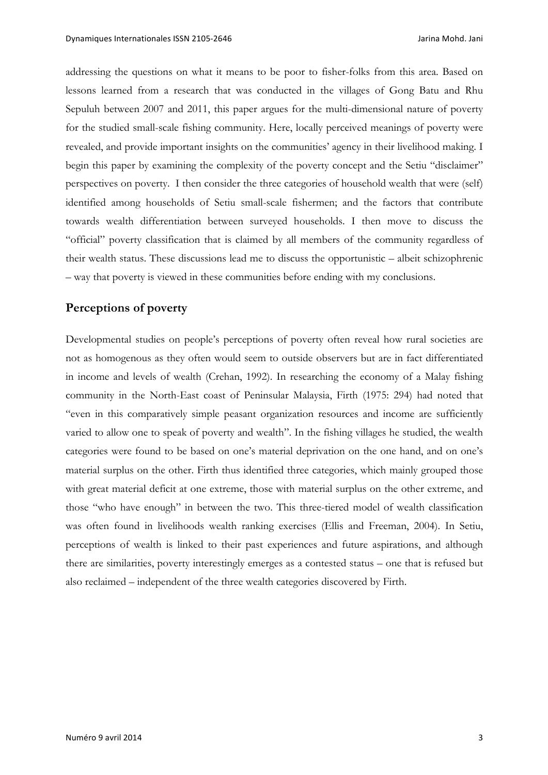addressing the questions on what it means to be poor to fisher-folks from this area. Based on lessons learned from a research that was conducted in the villages of Gong Batu and Rhu Sepuluh between 2007 and 2011, this paper argues for the multi-dimensional nature of poverty for the studied small-scale fishing community. Here, locally perceived meanings of poverty were revealed, and provide important insights on the communities' agency in their livelihood making. I begin this paper by examining the complexity of the poverty concept and the Setiu "disclaimer" perspectives on poverty. I then consider the three categories of household wealth that were (self) identified among households of Setiu small-scale fishermen; and the factors that contribute towards wealth differentiation between surveyed households. I then move to discuss the "official" poverty classification that is claimed by all members of the community regardless of their wealth status. These discussions lead me to discuss the opportunistic – albeit schizophrenic – way that poverty is viewed in these communities before ending with my conclusions.

#### **Perceptions of poverty**

Developmental studies on people's perceptions of poverty often reveal how rural societies are not as homogenous as they often would seem to outside observers but are in fact differentiated in income and levels of wealth (Crehan, 1992). In researching the economy of a Malay fishing community in the North-East coast of Peninsular Malaysia, Firth (1975: 294) had noted that "even in this comparatively simple peasant organization resources and income are sufficiently varied to allow one to speak of poverty and wealth". In the fishing villages he studied, the wealth categories were found to be based on one's material deprivation on the one hand, and on one's material surplus on the other. Firth thus identified three categories, which mainly grouped those with great material deficit at one extreme, those with material surplus on the other extreme, and those "who have enough" in between the two. This three-tiered model of wealth classification was often found in livelihoods wealth ranking exercises (Ellis and Freeman, 2004). In Setiu, perceptions of wealth is linked to their past experiences and future aspirations, and although there are similarities, poverty interestingly emerges as a contested status – one that is refused but also reclaimed – independent of the three wealth categories discovered by Firth.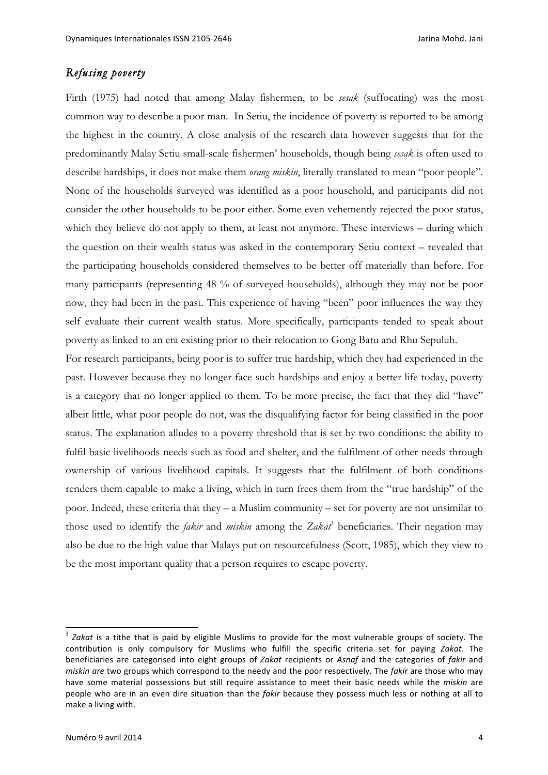# *Refusing poverty*

Firth (1975) had noted that among Malay fishermen, to be *sesak* (suffocating) was the most common way to describe a poor man. In Setiu, the incidence of poverty is reported to be among the highest in the country. A close analysis of the research data however suggests that for the predominantly Malay Setiu small-scale fishermen' households, though being *sesak* is often used to describe hardships, it does not make them *orang miskin*, literally translated to mean "poor people". None of the households surveyed was identified as a poor household, and participants did not consider the other households to be poor either. Some even vehemently rejected the poor status, which they believe do not apply to them, at least not anymore. These interviews – during which the question on their wealth status was asked in the contemporary Setiu context – revealed that the participating households considered themselves to be better off materially than before. For many participants (representing 48 % of surveyed households), although they may not be poor now, they had been in the past. This experience of having "been" poor influences the way they self evaluate their current wealth status. More specifically, participants tended to speak about poverty as linked to an era existing prior to their relocation to Gong Batu and Rhu Sepuluh.

For research participants, being poor is to suffer true hardship, which they had experienced in the past. However because they no longer face such hardships and enjoy a better life today, poverty is a category that no longer applied to them. To be more precise, the fact that they did "have" albeit little, what poor people do not, was the disqualifying factor for being classified in the poor status. The explanation alludes to a poverty threshold that is set by two conditions: the ability to fulfil basic livelihoods needs such as food and shelter, and the fulfilment of other needs through ownership of various livelihood capitals. It suggests that the fulfilment of both conditions renders them capable to make a living, which in turn frees them from the "true hardship" of the poor. Indeed, these criteria that they – a Muslim community – set for poverty are not unsimilar to those used to identify the *fakir* and *miskin* among the Zakat<sup>3</sup> beneficiaries. Their negation may also be due to the high value that Malays put on resourcefulness (Scott, 1985), which they view to be the most important quality that a person requires to escape poverty.

<sup>&</sup>lt;sup>3</sup> Zakat is a tithe that is paid by eligible Muslims to provide for the most vulnerable groups of society. The contribution is only compulsory for Muslims who fulfill the specific criteria set for paying *Zakat*. The beneficiaries are categorised into eight groups of Zakat recipients or Asnaf and the categories of fakir and *miskin* are two groups which correspond to the needy and the poor respectively. The *fakir* are those who may have some material possessions but still require assistance to meet their basic needs while the *miskin* are people who are in an even dire situation than the *fakir* because they possess much less or nothing at all to make a living with.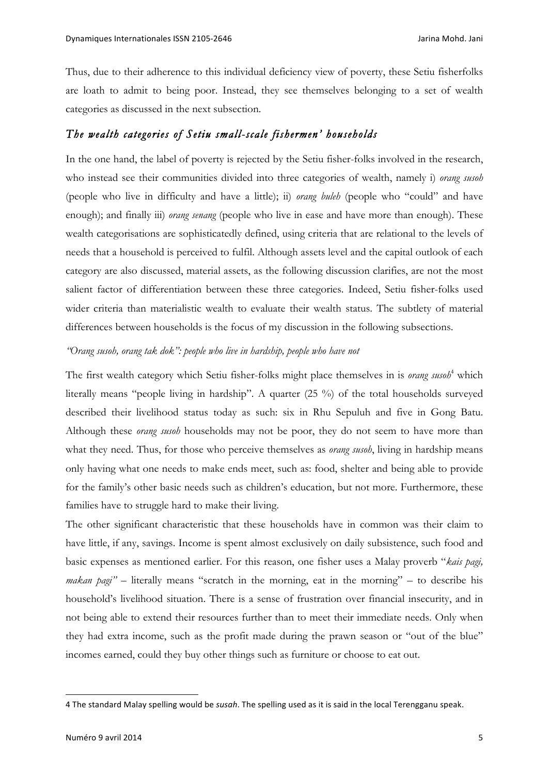Thus, due to their adherence to this individual deficiency view of poverty, these Setiu fisherfolks are loath to admit to being poor. Instead, they see themselves belonging to a set of wealth categories as discussed in the next subsection.

## *The wealth categories of Setiu small-scale fishermen' households*

In the one hand, the label of poverty is rejected by the Setiu fisher-folks involved in the research, who instead see their communities divided into three categories of wealth, namely i) *orang susoh* (people who live in difficulty and have a little); ii) *orang buleh* (people who "could" and have enough); and finally iii) *orang senang* (people who live in ease and have more than enough). These wealth categorisations are sophisticatedly defined, using criteria that are relational to the levels of needs that a household is perceived to fulfil. Although assets level and the capital outlook of each category are also discussed, material assets, as the following discussion clarifies, are not the most salient factor of differentiation between these three categories. Indeed, Setiu fisher-folks used wider criteria than materialistic wealth to evaluate their wealth status. The subtlety of material differences between households is the focus of my discussion in the following subsections.

#### *"Orang susoh, orang tak dok": people who live in hardship, people who have not*

The first wealth category which Setiu fisher-folks might place themselves in is *orang susoh*<sup>4</sup> which literally means "people living in hardship". A quarter (25 %) of the total households surveyed described their livelihood status today as such: six in Rhu Sepuluh and five in Gong Batu. Although these *orang susoh* households may not be poor, they do not seem to have more than what they need. Thus, for those who perceive themselves as *orang susoh*, living in hardship means only having what one needs to make ends meet, such as: food, shelter and being able to provide for the family's other basic needs such as children's education, but not more. Furthermore, these families have to struggle hard to make their living.

The other significant characteristic that these households have in common was their claim to have little, if any, savings. Income is spent almost exclusively on daily subsistence, such food and basic expenses as mentioned earlier. For this reason, one fisher uses a Malay proverb "*kais pagi, makan pagi*" – literally means "scratch in the morning, eat in the morning" – to describe his household's livelihood situation. There is a sense of frustration over financial insecurity, and in not being able to extend their resources further than to meet their immediate needs. Only when they had extra income, such as the profit made during the prawn season or "out of the blue" incomes earned, could they buy other things such as furniture or choose to eat out.

 $\overline{a}$ 

<sup>4</sup> The standard Malay spelling would be *susah*. The spelling used as it is said in the local Terengganu speak.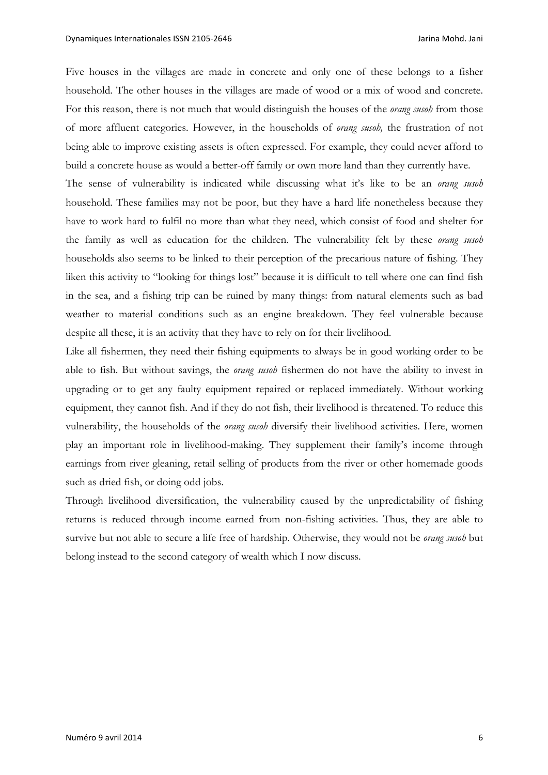Five houses in the villages are made in concrete and only one of these belongs to a fisher household. The other houses in the villages are made of wood or a mix of wood and concrete. For this reason, there is not much that would distinguish the houses of the *orang susoh* from those of more affluent categories. However, in the households of *orang susoh,* the frustration of not being able to improve existing assets is often expressed. For example, they could never afford to build a concrete house as would a better-off family or own more land than they currently have.

The sense of vulnerability is indicated while discussing what it's like to be an *orang susoh* household. These families may not be poor, but they have a hard life nonetheless because they have to work hard to fulfil no more than what they need, which consist of food and shelter for the family as well as education for the children. The vulnerability felt by these *orang susoh* households also seems to be linked to their perception of the precarious nature of fishing. They liken this activity to "looking for things lost" because it is difficult to tell where one can find fish in the sea, and a fishing trip can be ruined by many things: from natural elements such as bad weather to material conditions such as an engine breakdown. They feel vulnerable because despite all these, it is an activity that they have to rely on for their livelihood.

Like all fishermen, they need their fishing equipments to always be in good working order to be able to fish. But without savings, the *orang susoh* fishermen do not have the ability to invest in upgrading or to get any faulty equipment repaired or replaced immediately. Without working equipment, they cannot fish. And if they do not fish, their livelihood is threatened. To reduce this vulnerability, the households of the *orang susoh* diversify their livelihood activities. Here, women play an important role in livelihood-making. They supplement their family's income through earnings from river gleaning, retail selling of products from the river or other homemade goods such as dried fish, or doing odd jobs.

Through livelihood diversification, the vulnerability caused by the unpredictability of fishing returns is reduced through income earned from non-fishing activities. Thus, they are able to survive but not able to secure a life free of hardship. Otherwise, they would not be *orang susoh* but belong instead to the second category of wealth which I now discuss.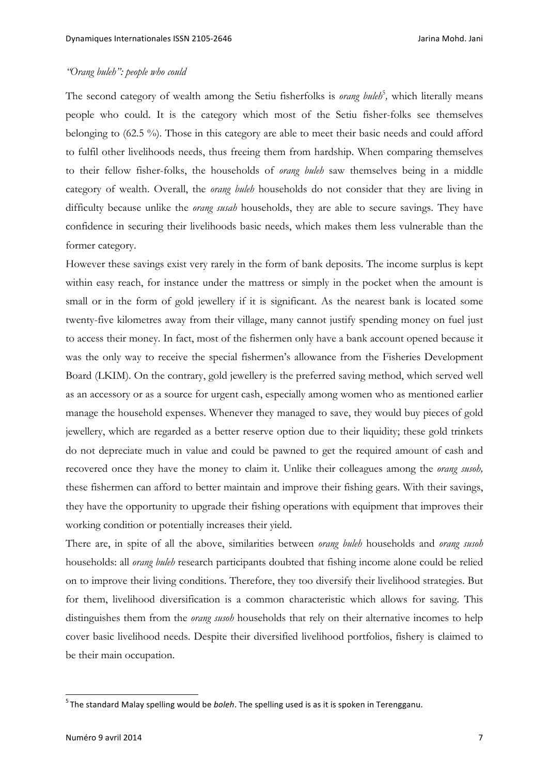## *"Orang buleh": people who could*

The second category of wealth among the Setiu fisherfolks is *orang buleh*<sup>5</sup>, which literally means people who could. It is the category which most of the Setiu fisher-folks see themselves belonging to (62.5 %). Those in this category are able to meet their basic needs and could afford to fulfil other livelihoods needs, thus freeing them from hardship. When comparing themselves to their fellow fisher-folks, the households of *orang buleh* saw themselves being in a middle category of wealth. Overall, the *orang buleh* households do not consider that they are living in difficulty because unlike the *orang susah* households, they are able to secure savings. They have confidence in securing their livelihoods basic needs, which makes them less vulnerable than the former category.

However these savings exist very rarely in the form of bank deposits. The income surplus is kept within easy reach, for instance under the mattress or simply in the pocket when the amount is small or in the form of gold jewellery if it is significant. As the nearest bank is located some twenty-five kilometres away from their village, many cannot justify spending money on fuel just to access their money. In fact, most of the fishermen only have a bank account opened because it was the only way to receive the special fishermen's allowance from the Fisheries Development Board (LKIM). On the contrary, gold jewellery is the preferred saving method, which served well as an accessory or as a source for urgent cash, especially among women who as mentioned earlier manage the household expenses. Whenever they managed to save, they would buy pieces of gold jewellery, which are regarded as a better reserve option due to their liquidity; these gold trinkets do not depreciate much in value and could be pawned to get the required amount of cash and recovered once they have the money to claim it. Unlike their colleagues among the *orang susoh,* these fishermen can afford to better maintain and improve their fishing gears. With their savings, they have the opportunity to upgrade their fishing operations with equipment that improves their working condition or potentially increases their yield.

There are, in spite of all the above, similarities between *orang buleh* households and *orang susoh* households: all *orang buleh* research participants doubted that fishing income alone could be relied on to improve their living conditions. Therefore, they too diversify their livelihood strategies. But for them, livelihood diversification is a common characteristic which allows for saving. This distinguishes them from the *orang susoh* households that rely on their alternative incomes to help cover basic livelihood needs. Despite their diversified livelihood portfolios, fishery is claimed to be their main occupation.

<sup>&</sup>lt;u>-</u><br><sup>5</sup> The standard Malay spelling would be *boleh*. The spelling used is as it is spoken in Terengganu.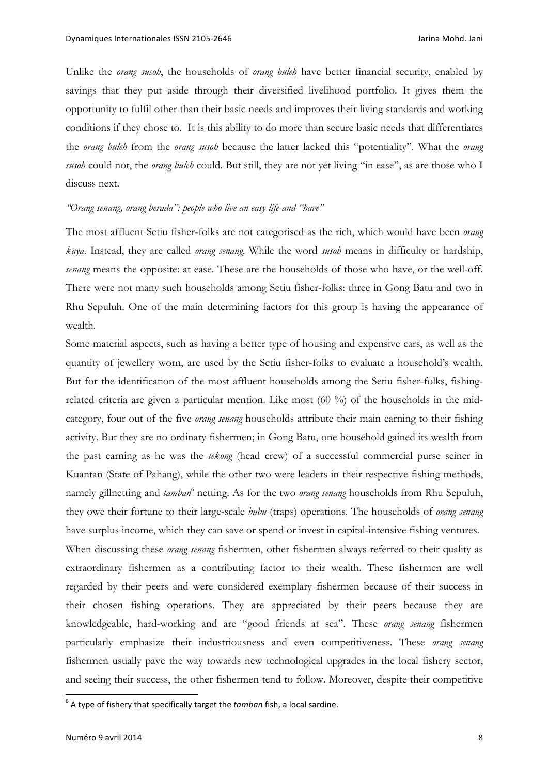Unlike the *orang susoh*, the households of *orang buleh* have better financial security, enabled by savings that they put aside through their diversified livelihood portfolio. It gives them the opportunity to fulfil other than their basic needs and improves their living standards and working conditions if they chose to. It is this ability to do more than secure basic needs that differentiates the *orang buleh* from the *orang susoh* because the latter lacked this "potentiality". What the *orang susoh* could not, the *orang buleh* could. But still, they are not yet living "in ease", as are those who I discuss next.

#### *"Orang senang, orang berada": people who live an easy life and "have"*

The most affluent Setiu fisher-folks are not categorised as the rich, which would have been *orang kaya*. Instead, they are called *orang senang*. While the word *susoh* means in difficulty or hardship, *senang* means the opposite: at ease. These are the households of those who have, or the well-off. There were not many such households among Setiu fisher-folks: three in Gong Batu and two in Rhu Sepuluh. One of the main determining factors for this group is having the appearance of wealth.

Some material aspects, such as having a better type of housing and expensive cars, as well as the quantity of jewellery worn, are used by the Setiu fisher-folks to evaluate a household's wealth. But for the identification of the most affluent households among the Setiu fisher-folks, fishingrelated criteria are given a particular mention. Like most (60 %) of the households in the midcategory, four out of the five *orang senang* households attribute their main earning to their fishing activity. But they are no ordinary fishermen; in Gong Batu, one household gained its wealth from the past earning as he was the *tekong* (head crew) of a successful commercial purse seiner in Kuantan (State of Pahang), while the other two were leaders in their respective fishing methods, namely gillnetting and *tamban*<sup>6</sup> netting. As for the two *orang senang* households from Rhu Sepuluh, they owe their fortune to their large-scale *bubu* (traps) operations. The households of *orang senang* have surplus income, which they can save or spend or invest in capital-intensive fishing ventures. When discussing these *orang senang* fishermen, other fishermen always referred to their quality as extraordinary fishermen as a contributing factor to their wealth. These fishermen are well regarded by their peers and were considered exemplary fishermen because of their success in their chosen fishing operations. They are appreciated by their peers because they are knowledgeable, hard-working and are "good friends at sea". These *orang senang* fishermen particularly emphasize their industriousness and even competitiveness. These *orang senang* fishermen usually pave the way towards new technological upgrades in the local fishery sector, and seeing their success, the other fishermen tend to follow. Moreover, despite their competitive

 $6$  A type of fishery that specifically target the *tamban* fish, a local sardine.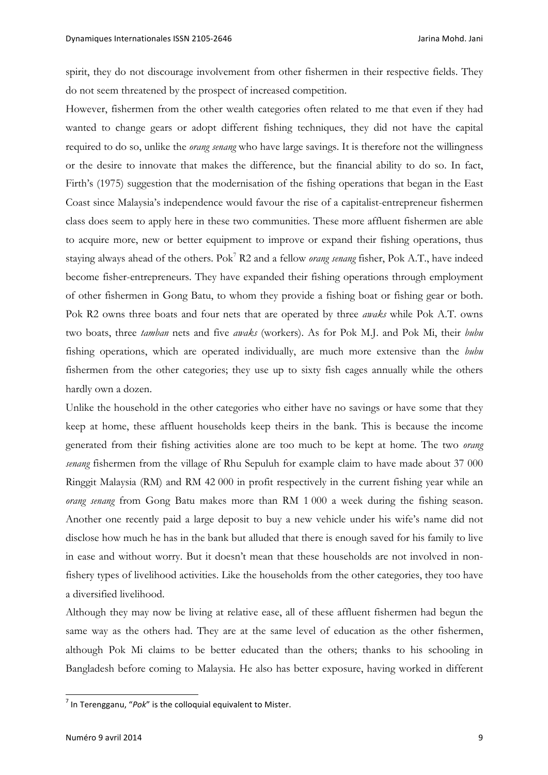spirit, they do not discourage involvement from other fishermen in their respective fields. They do not seem threatened by the prospect of increased competition.

However, fishermen from the other wealth categories often related to me that even if they had wanted to change gears or adopt different fishing techniques, they did not have the capital required to do so, unlike the *orang senang* who have large savings. It is therefore not the willingness or the desire to innovate that makes the difference, but the financial ability to do so. In fact, Firth's (1975) suggestion that the modernisation of the fishing operations that began in the East Coast since Malaysia's independence would favour the rise of a capitalist-entrepreneur fishermen class does seem to apply here in these two communities. These more affluent fishermen are able to acquire more, new or better equipment to improve or expand their fishing operations, thus staying always ahead of the others. Pok7 R2 and a fellow *orang senang* fisher, Pok A.T., have indeed become fisher-entrepreneurs. They have expanded their fishing operations through employment of other fishermen in Gong Batu, to whom they provide a fishing boat or fishing gear or both. Pok R2 owns three boats and four nets that are operated by three *awaks* while Pok A.T. owns two boats, three *tamban* nets and five *awaks* (workers). As for Pok M.J. and Pok Mi, their *bubu* fishing operations, which are operated individually, are much more extensive than the *bubu* fishermen from the other categories; they use up to sixty fish cages annually while the others hardly own a dozen.

Unlike the household in the other categories who either have no savings or have some that they keep at home, these affluent households keep theirs in the bank. This is because the income generated from their fishing activities alone are too much to be kept at home. The two *orang senang* fishermen from the village of Rhu Sepuluh for example claim to have made about 37 000 Ringgit Malaysia (RM) and RM 42 000 in profit respectively in the current fishing year while an *orang senang* from Gong Batu makes more than RM 1 000 a week during the fishing season. Another one recently paid a large deposit to buy a new vehicle under his wife's name did not disclose how much he has in the bank but alluded that there is enough saved for his family to live in ease and without worry. But it doesn't mean that these households are not involved in nonfishery types of livelihood activities. Like the households from the other categories, they too have a diversified livelihood.

Although they may now be living at relative ease, all of these affluent fishermen had begun the same way as the others had. They are at the same level of education as the other fishermen, although Pok Mi claims to be better educated than the others; thanks to his schooling in Bangladesh before coming to Malaysia. He also has better exposure, having worked in different

 $<sup>7</sup>$  In Terengganu, "Pok" is the colloquial equivalent to Mister.</sup>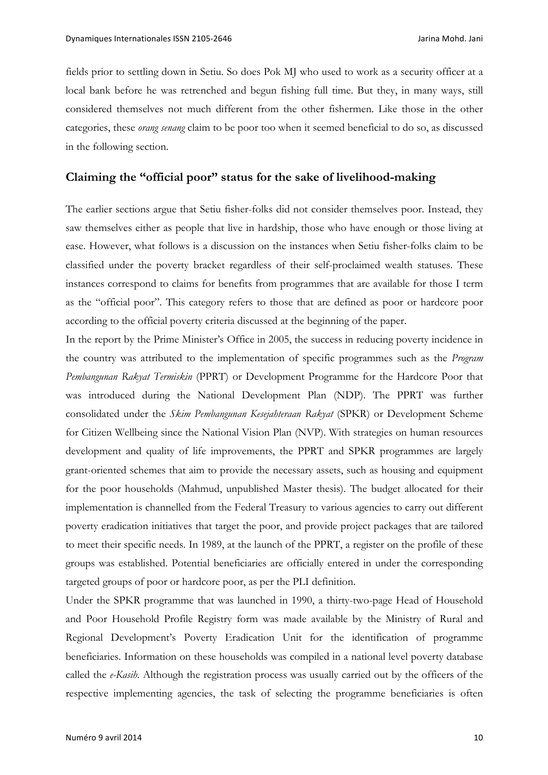fields prior to settling down in Setiu. So does Pok MJ who used to work as a security officer at a local bank before he was retrenched and begun fishing full time. But they, in many ways, still considered themselves not much different from the other fishermen. Like those in the other categories, these *orang senang* claim to be poor too when it seemed beneficial to do so, as discussed in the following section.

## **Claiming the "official poor" status for the sake of livelihood-making**

The earlier sections argue that Setiu fisher-folks did not consider themselves poor. Instead, they saw themselves either as people that live in hardship, those who have enough or those living at ease. However, what follows is a discussion on the instances when Setiu fisher-folks claim to be classified under the poverty bracket regardless of their self-proclaimed wealth statuses. These instances correspond to claims for benefits from programmes that are available for those I term as the "official poor". This category refers to those that are defined as poor or hardcore poor according to the official poverty criteria discussed at the beginning of the paper.

In the report by the Prime Minister's Office in 2005, the success in reducing poverty incidence in the country was attributed to the implementation of specific programmes such as the *Program Pembangunan Rakyat Termiskin* (PPRT) or Development Programme for the Hardcore Poor that was introduced during the National Development Plan (NDP). The PPRT was further consolidated under the *Skim Pembangunan Kesejahteraan Rakyat* (SPKR) or Development Scheme for Citizen Wellbeing since the National Vision Plan (NVP). With strategies on human resources development and quality of life improvements, the PPRT and SPKR programmes are largely grant-oriented schemes that aim to provide the necessary assets, such as housing and equipment for the poor households (Mahmud, unpublished Master thesis). The budget allocated for their implementation is channelled from the Federal Treasury to various agencies to carry out different poverty eradication initiatives that target the poor, and provide project packages that are tailored to meet their specific needs. In 1989, at the launch of the PPRT, a register on the profile of these groups was established. Potential beneficiaries are officially entered in under the corresponding targeted groups of poor or hardcore poor, as per the PLI definition.

Under the SPKR programme that was launched in 1990, a thirty-two-page Head of Household and Poor Household Profile Registry form was made available by the Ministry of Rural and Regional Development's Poverty Eradication Unit for the identification of programme beneficiaries. Information on these households was compiled in a national level poverty database called the *e-Kasih.* Although the registration process was usually carried out by the officers of the respective implementing agencies, the task of selecting the programme beneficiaries is often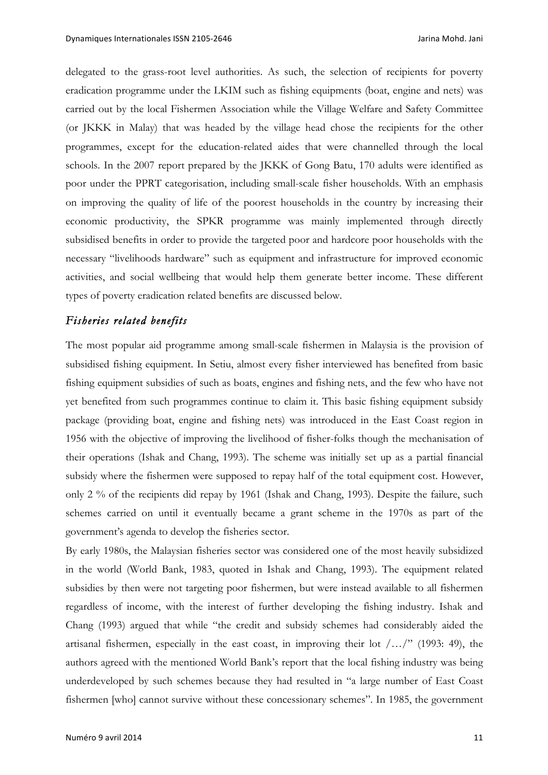delegated to the grass-root level authorities. As such, the selection of recipients for poverty eradication programme under the LKIM such as fishing equipments (boat, engine and nets) was carried out by the local Fishermen Association while the Village Welfare and Safety Committee (or JKKK in Malay) that was headed by the village head chose the recipients for the other programmes, except for the education-related aides that were channelled through the local schools. In the 2007 report prepared by the JKKK of Gong Batu, 170 adults were identified as poor under the PPRT categorisation, including small-scale fisher households. With an emphasis on improving the quality of life of the poorest households in the country by increasing their economic productivity, the SPKR programme was mainly implemented through directly subsidised benefits in order to provide the targeted poor and hardcore poor households with the necessary "livelihoods hardware" such as equipment and infrastructure for improved economic activities, and social wellbeing that would help them generate better income. These different types of poverty eradication related benefits are discussed below.

## *Fisheries related benefits*

The most popular aid programme among small-scale fishermen in Malaysia is the provision of subsidised fishing equipment. In Setiu, almost every fisher interviewed has benefited from basic fishing equipment subsidies of such as boats, engines and fishing nets, and the few who have not yet benefited from such programmes continue to claim it. This basic fishing equipment subsidy package (providing boat, engine and fishing nets) was introduced in the East Coast region in 1956 with the objective of improving the livelihood of fisher-folks though the mechanisation of their operations (Ishak and Chang, 1993). The scheme was initially set up as a partial financial subsidy where the fishermen were supposed to repay half of the total equipment cost. However, only 2 % of the recipients did repay by 1961 (Ishak and Chang, 1993). Despite the failure, such schemes carried on until it eventually became a grant scheme in the 1970s as part of the government's agenda to develop the fisheries sector.

By early 1980s, the Malaysian fisheries sector was considered one of the most heavily subsidized in the world (World Bank, 1983, quoted in Ishak and Chang, 1993). The equipment related subsidies by then were not targeting poor fishermen, but were instead available to all fishermen regardless of income, with the interest of further developing the fishing industry. Ishak and Chang (1993) argued that while "the credit and subsidy schemes had considerably aided the artisanal fishermen, especially in the east coast, in improving their lot  $/$ .../" (1993: 49), the authors agreed with the mentioned World Bank's report that the local fishing industry was being underdeveloped by such schemes because they had resulted in "a large number of East Coast fishermen [who] cannot survive without these concessionary schemes". In 1985, the government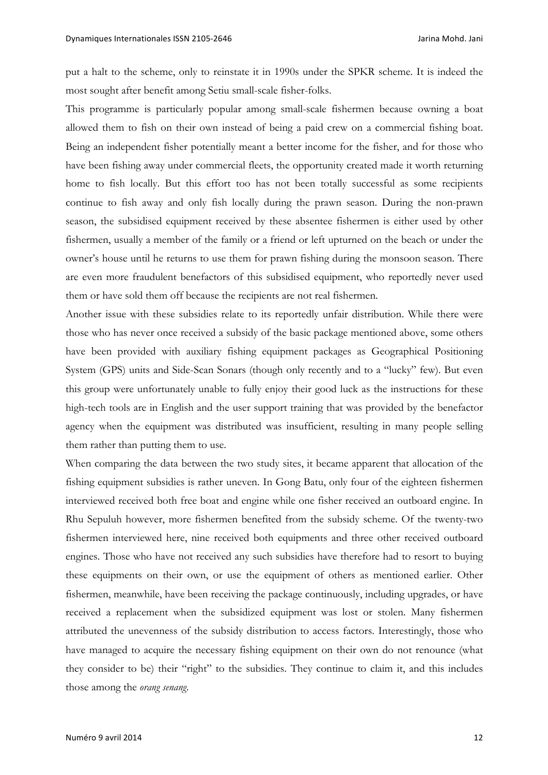put a halt to the scheme, only to reinstate it in 1990s under the SPKR scheme. It is indeed the most sought after benefit among Setiu small-scale fisher-folks.

This programme is particularly popular among small-scale fishermen because owning a boat allowed them to fish on their own instead of being a paid crew on a commercial fishing boat. Being an independent fisher potentially meant a better income for the fisher, and for those who have been fishing away under commercial fleets, the opportunity created made it worth returning home to fish locally. But this effort too has not been totally successful as some recipients continue to fish away and only fish locally during the prawn season. During the non-prawn season, the subsidised equipment received by these absentee fishermen is either used by other fishermen, usually a member of the family or a friend or left upturned on the beach or under the owner's house until he returns to use them for prawn fishing during the monsoon season. There are even more fraudulent benefactors of this subsidised equipment, who reportedly never used them or have sold them off because the recipients are not real fishermen.

Another issue with these subsidies relate to its reportedly unfair distribution. While there were those who has never once received a subsidy of the basic package mentioned above, some others have been provided with auxiliary fishing equipment packages as Geographical Positioning System (GPS) units and Side-Scan Sonars (though only recently and to a "lucky" few). But even this group were unfortunately unable to fully enjoy their good luck as the instructions for these high-tech tools are in English and the user support training that was provided by the benefactor agency when the equipment was distributed was insufficient, resulting in many people selling them rather than putting them to use.

When comparing the data between the two study sites, it became apparent that allocation of the fishing equipment subsidies is rather uneven. In Gong Batu, only four of the eighteen fishermen interviewed received both free boat and engine while one fisher received an outboard engine. In Rhu Sepuluh however, more fishermen benefited from the subsidy scheme. Of the twenty-two fishermen interviewed here, nine received both equipments and three other received outboard engines. Those who have not received any such subsidies have therefore had to resort to buying these equipments on their own, or use the equipment of others as mentioned earlier. Other fishermen, meanwhile, have been receiving the package continuously, including upgrades, or have received a replacement when the subsidized equipment was lost or stolen. Many fishermen attributed the unevenness of the subsidy distribution to access factors. Interestingly, those who have managed to acquire the necessary fishing equipment on their own do not renounce (what they consider to be) their "right" to the subsidies. They continue to claim it, and this includes those among the *orang senang*.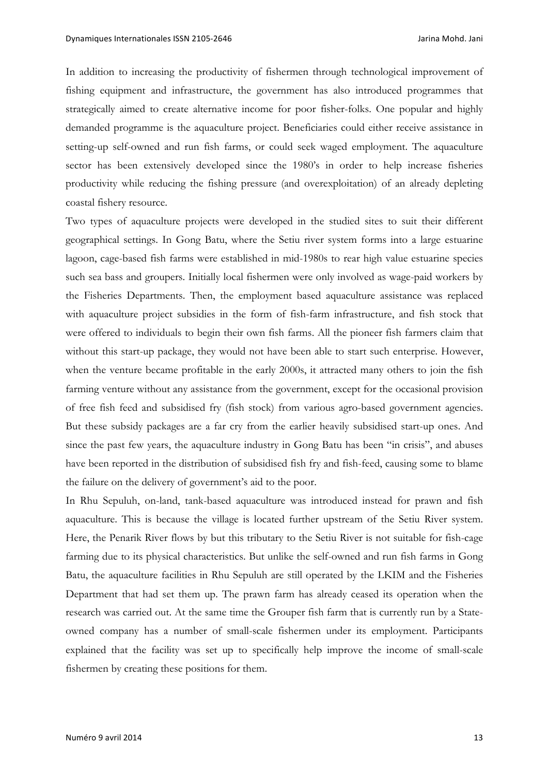In addition to increasing the productivity of fishermen through technological improvement of fishing equipment and infrastructure, the government has also introduced programmes that strategically aimed to create alternative income for poor fisher-folks. One popular and highly demanded programme is the aquaculture project. Beneficiaries could either receive assistance in setting-up self-owned and run fish farms, or could seek waged employment. The aquaculture sector has been extensively developed since the 1980's in order to help increase fisheries productivity while reducing the fishing pressure (and overexploitation) of an already depleting coastal fishery resource.

Two types of aquaculture projects were developed in the studied sites to suit their different geographical settings. In Gong Batu, where the Setiu river system forms into a large estuarine lagoon, cage-based fish farms were established in mid-1980s to rear high value estuarine species such sea bass and groupers. Initially local fishermen were only involved as wage-paid workers by the Fisheries Departments. Then, the employment based aquaculture assistance was replaced with aquaculture project subsidies in the form of fish-farm infrastructure, and fish stock that were offered to individuals to begin their own fish farms. All the pioneer fish farmers claim that without this start-up package, they would not have been able to start such enterprise. However, when the venture became profitable in the early 2000s, it attracted many others to join the fish farming venture without any assistance from the government, except for the occasional provision of free fish feed and subsidised fry (fish stock) from various agro-based government agencies. But these subsidy packages are a far cry from the earlier heavily subsidised start-up ones. And since the past few years, the aquaculture industry in Gong Batu has been "in crisis", and abuses have been reported in the distribution of subsidised fish fry and fish-feed, causing some to blame the failure on the delivery of government's aid to the poor.

In Rhu Sepuluh, on-land, tank-based aquaculture was introduced instead for prawn and fish aquaculture. This is because the village is located further upstream of the Setiu River system. Here, the Penarik River flows by but this tributary to the Setiu River is not suitable for fish-cage farming due to its physical characteristics. But unlike the self-owned and run fish farms in Gong Batu, the aquaculture facilities in Rhu Sepuluh are still operated by the LKIM and the Fisheries Department that had set them up. The prawn farm has already ceased its operation when the research was carried out. At the same time the Grouper fish farm that is currently run by a Stateowned company has a number of small-scale fishermen under its employment. Participants explained that the facility was set up to specifically help improve the income of small-scale fishermen by creating these positions for them.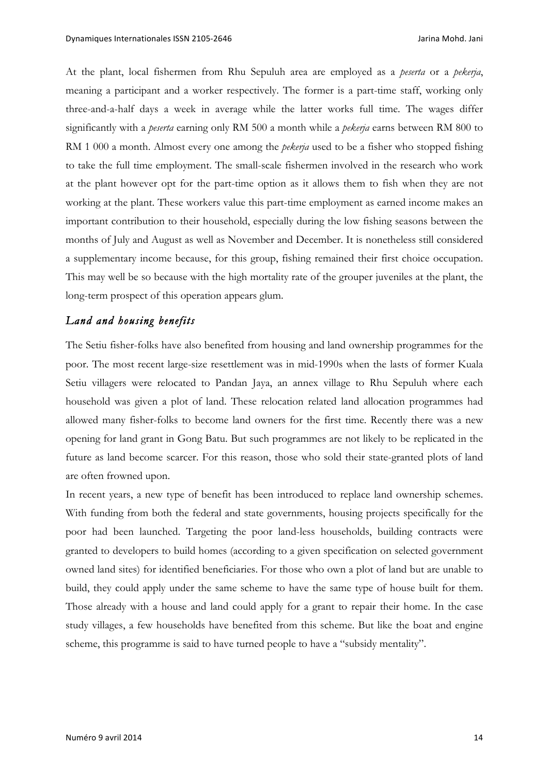At the plant, local fishermen from Rhu Sepuluh area are employed as a *peserta* or a *pekerja*, meaning a participant and a worker respectively. The former is a part-time staff, working only three-and-a-half days a week in average while the latter works full time. The wages differ significantly with a *peserta* earning only RM 500 a month while a *pekerja* earns between RM 800 to RM 1 000 a month. Almost every one among the *pekerja* used to be a fisher who stopped fishing to take the full time employment. The small-scale fishermen involved in the research who work at the plant however opt for the part-time option as it allows them to fish when they are not working at the plant. These workers value this part-time employment as earned income makes an important contribution to their household, especially during the low fishing seasons between the months of July and August as well as November and December. It is nonetheless still considered a supplementary income because, for this group, fishing remained their first choice occupation. This may well be so because with the high mortality rate of the grouper juveniles at the plant, the long-term prospect of this operation appears glum.

# *Land and housing benefits*

The Setiu fisher-folks have also benefited from housing and land ownership programmes for the poor. The most recent large-size resettlement was in mid-1990s when the lasts of former Kuala Setiu villagers were relocated to Pandan Jaya, an annex village to Rhu Sepuluh where each household was given a plot of land. These relocation related land allocation programmes had allowed many fisher-folks to become land owners for the first time. Recently there was a new opening for land grant in Gong Batu. But such programmes are not likely to be replicated in the future as land become scarcer. For this reason, those who sold their state-granted plots of land are often frowned upon.

In recent years, a new type of benefit has been introduced to replace land ownership schemes. With funding from both the federal and state governments, housing projects specifically for the poor had been launched. Targeting the poor land-less households, building contracts were granted to developers to build homes (according to a given specification on selected government owned land sites) for identified beneficiaries. For those who own a plot of land but are unable to build, they could apply under the same scheme to have the same type of house built for them. Those already with a house and land could apply for a grant to repair their home. In the case study villages, a few households have benefited from this scheme. But like the boat and engine scheme, this programme is said to have turned people to have a "subsidy mentality".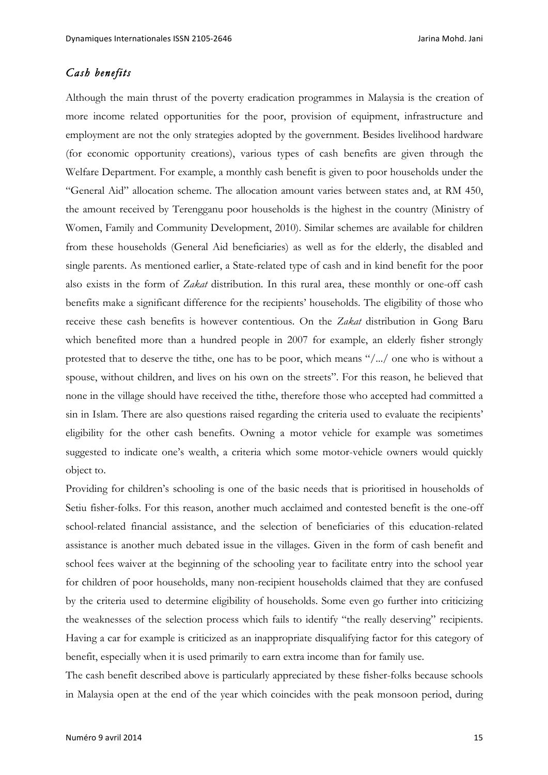# *Cash benefits*

Although the main thrust of the poverty eradication programmes in Malaysia is the creation of more income related opportunities for the poor, provision of equipment, infrastructure and employment are not the only strategies adopted by the government. Besides livelihood hardware (for economic opportunity creations), various types of cash benefits are given through the Welfare Department. For example, a monthly cash benefit is given to poor households under the "General Aid" allocation scheme. The allocation amount varies between states and, at RM 450, the amount received by Terengganu poor households is the highest in the country (Ministry of Women, Family and Community Development, 2010). Similar schemes are available for children from these households (General Aid beneficiaries) as well as for the elderly, the disabled and single parents. As mentioned earlier, a State-related type of cash and in kind benefit for the poor also exists in the form of *Zakat* distribution. In this rural area, these monthly or one-off cash benefits make a significant difference for the recipients' households. The eligibility of those who receive these cash benefits is however contentious. On the *Zakat* distribution in Gong Baru which benefited more than a hundred people in 2007 for example, an elderly fisher strongly protested that to deserve the tithe, one has to be poor, which means "/.../ one who is without a spouse, without children, and lives on his own on the streets". For this reason, he believed that none in the village should have received the tithe, therefore those who accepted had committed a sin in Islam. There are also questions raised regarding the criteria used to evaluate the recipients' eligibility for the other cash benefits. Owning a motor vehicle for example was sometimes suggested to indicate one's wealth, a criteria which some motor-vehicle owners would quickly object to.

Providing for children's schooling is one of the basic needs that is prioritised in households of Setiu fisher-folks. For this reason, another much acclaimed and contested benefit is the one-off school-related financial assistance, and the selection of beneficiaries of this education-related assistance is another much debated issue in the villages. Given in the form of cash benefit and school fees waiver at the beginning of the schooling year to facilitate entry into the school year for children of poor households, many non-recipient households claimed that they are confused by the criteria used to determine eligibility of households. Some even go further into criticizing the weaknesses of the selection process which fails to identify "the really deserving" recipients. Having a car for example is criticized as an inappropriate disqualifying factor for this category of benefit, especially when it is used primarily to earn extra income than for family use.

The cash benefit described above is particularly appreciated by these fisher-folks because schools in Malaysia open at the end of the year which coincides with the peak monsoon period, during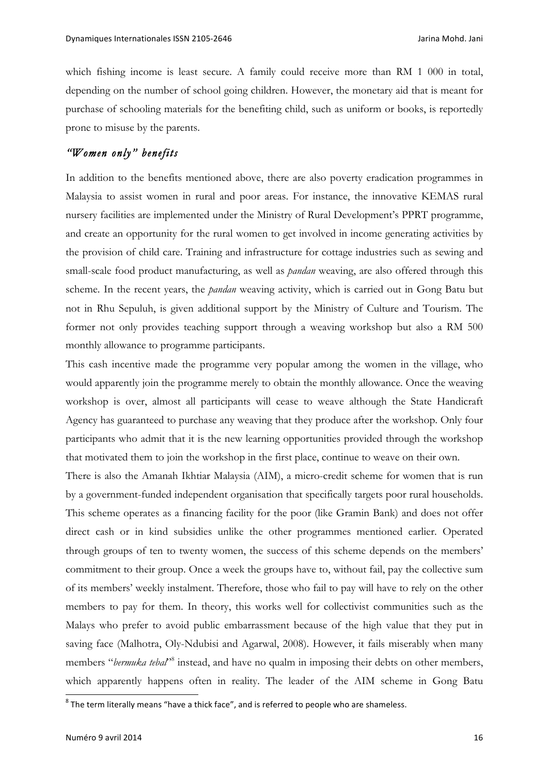which fishing income is least secure. A family could receive more than RM 1 000 in total, depending on the number of school going children. However, the monetary aid that is meant for purchase of schooling materials for the benefiting child, such as uniform or books, is reportedly prone to misuse by the parents.

# *"Women only" benefits*

In addition to the benefits mentioned above, there are also poverty eradication programmes in Malaysia to assist women in rural and poor areas. For instance, the innovative KEMAS rural nursery facilities are implemented under the Ministry of Rural Development's PPRT programme, and create an opportunity for the rural women to get involved in income generating activities by the provision of child care. Training and infrastructure for cottage industries such as sewing and small-scale food product manufacturing, as well as *pandan* weaving, are also offered through this scheme. In the recent years, the *pandan* weaving activity, which is carried out in Gong Batu but not in Rhu Sepuluh, is given additional support by the Ministry of Culture and Tourism. The former not only provides teaching support through a weaving workshop but also a RM 500 monthly allowance to programme participants.

This cash incentive made the programme very popular among the women in the village, who would apparently join the programme merely to obtain the monthly allowance. Once the weaving workshop is over, almost all participants will cease to weave although the State Handicraft Agency has guaranteed to purchase any weaving that they produce after the workshop. Only four participants who admit that it is the new learning opportunities provided through the workshop that motivated them to join the workshop in the first place, continue to weave on their own.

There is also the Amanah Ikhtiar Malaysia (AIM), a micro-credit scheme for women that is run by a government-funded independent organisation that specifically targets poor rural households. This scheme operates as a financing facility for the poor (like Gramin Bank) and does not offer direct cash or in kind subsidies unlike the other programmes mentioned earlier. Operated through groups of ten to twenty women, the success of this scheme depends on the members' commitment to their group. Once a week the groups have to, without fail, pay the collective sum of its members' weekly instalment. Therefore, those who fail to pay will have to rely on the other members to pay for them. In theory, this works well for collectivist communities such as the Malays who prefer to avoid public embarrassment because of the high value that they put in saving face (Malhotra, Oly-Ndubisi and Agarwal, 2008). However, it fails miserably when many members "*bermuka tebal*<sup>"8</sup> instead, and have no qualm in imposing their debts on other members, which apparently happens often in reality. The leader of the AIM scheme in Gong Batu

 $8$  The term literally means "have a thick face", and is referred to people who are shameless.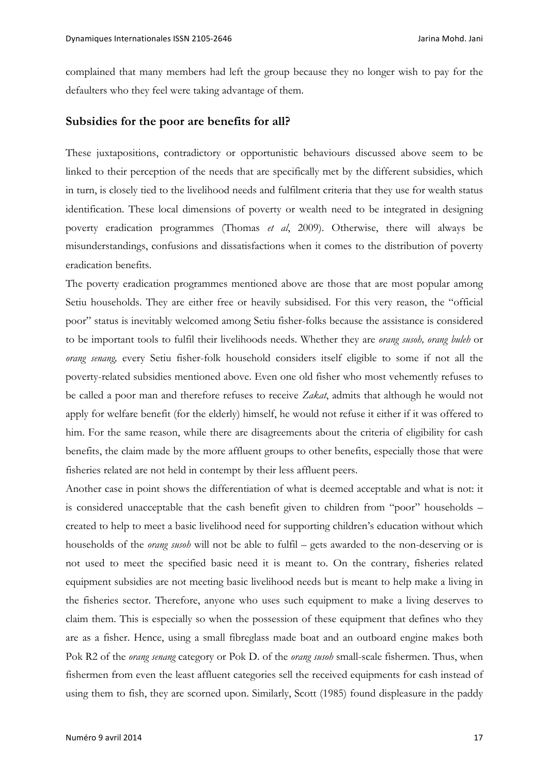complained that many members had left the group because they no longer wish to pay for the defaulters who they feel were taking advantage of them.

# **Subsidies for the poor are benefits for all?**

These juxtapositions, contradictory or opportunistic behaviours discussed above seem to be linked to their perception of the needs that are specifically met by the different subsidies, which in turn, is closely tied to the livelihood needs and fulfilment criteria that they use for wealth status identification. These local dimensions of poverty or wealth need to be integrated in designing poverty eradication programmes (Thomas *et al*, 2009). Otherwise, there will always be misunderstandings, confusions and dissatisfactions when it comes to the distribution of poverty eradication benefits.

The poverty eradication programmes mentioned above are those that are most popular among Setiu households. They are either free or heavily subsidised. For this very reason, the "official poor" status is inevitably welcomed among Setiu fisher-folks because the assistance is considered to be important tools to fulfil their livelihoods needs. Whether they are *orang susoh, orang buleh* or *orang senang,* every Setiu fisher-folk household considers itself eligible to some if not all the poverty-related subsidies mentioned above. Even one old fisher who most vehemently refuses to be called a poor man and therefore refuses to receive *Zakat*, admits that although he would not apply for welfare benefit (for the elderly) himself, he would not refuse it either if it was offered to him. For the same reason, while there are disagreements about the criteria of eligibility for cash benefits, the claim made by the more affluent groups to other benefits, especially those that were fisheries related are not held in contempt by their less affluent peers.

Another case in point shows the differentiation of what is deemed acceptable and what is not: it is considered unacceptable that the cash benefit given to children from "poor" households – created to help to meet a basic livelihood need for supporting children's education without which households of the *orang susoh* will not be able to fulfil – gets awarded to the non-deserving or is not used to meet the specified basic need it is meant to. On the contrary, fisheries related equipment subsidies are not meeting basic livelihood needs but is meant to help make a living in the fisheries sector. Therefore, anyone who uses such equipment to make a living deserves to claim them. This is especially so when the possession of these equipment that defines who they are as a fisher. Hence, using a small fibreglass made boat and an outboard engine makes both Pok R2 of the *orang senang* category or Pok D. of the *orang susoh* small-scale fishermen. Thus, when fishermen from even the least affluent categories sell the received equipments for cash instead of using them to fish, they are scorned upon. Similarly, Scott (1985) found displeasure in the paddy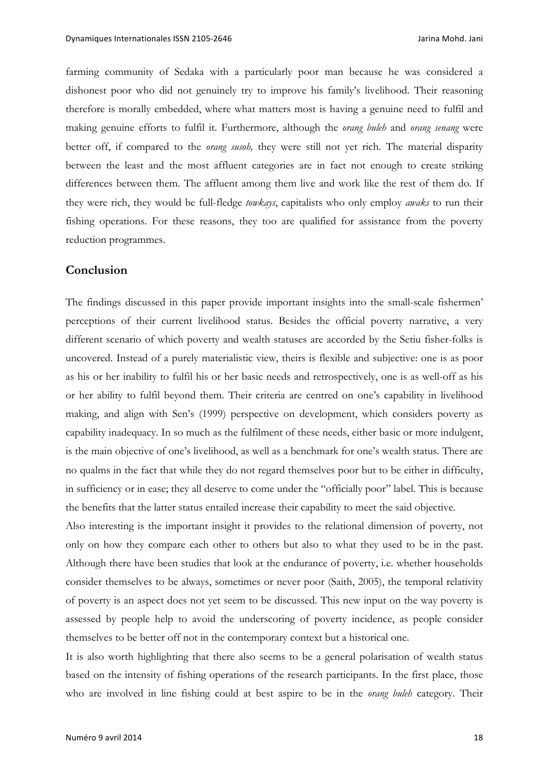farming community of Sedaka with a particularly poor man because he was considered a dishonest poor who did not genuinely try to improve his family's livelihood. Their reasoning therefore is morally embedded, where what matters most is having a genuine need to fulfil and making genuine efforts to fulfil it. Furthermore, although the *orang buleh* and *orang senang* were better off, if compared to the *orang susoh,* they were still not yet rich. The material disparity between the least and the most affluent categories are in fact not enough to create striking differences between them. The affluent among them live and work like the rest of them do. If they were rich, they would be full-fledge *towkays*, capitalists who only employ *awaks* to run their fishing operations. For these reasons, they too are qualified for assistance from the poverty reduction programmes.

#### **Conclusion**

The findings discussed in this paper provide important insights into the small-scale fishermen' perceptions of their current livelihood status. Besides the official poverty narrative, a very different scenario of which poverty and wealth statuses are accorded by the Setiu fisher-folks is uncovered. Instead of a purely materialistic view, theirs is flexible and subjective: one is as poor as his or her inability to fulfil his or her basic needs and retrospectively, one is as well-off as his or her ability to fulfil beyond them. Their criteria are centred on one's capability in livelihood making, and align with Sen's (1999) perspective on development, which considers poverty as capability inadequacy. In so much as the fulfilment of these needs, either basic or more indulgent, is the main objective of one's livelihood, as well as a benchmark for one's wealth status. There are no qualms in the fact that while they do not regard themselves poor but to be either in difficulty, in sufficiency or in ease; they all deserve to come under the "officially poor" label. This is because the benefits that the latter status entailed increase their capability to meet the said objective.

Also interesting is the important insight it provides to the relational dimension of poverty, not only on how they compare each other to others but also to what they used to be in the past. Although there have been studies that look at the endurance of poverty, i.e. whether households consider themselves to be always, sometimes or never poor (Saith, 2005), the temporal relativity of poverty is an aspect does not yet seem to be discussed. This new input on the way poverty is assessed by people help to avoid the underscoring of poverty incidence, as people consider themselves to be better off not in the contemporary context but a historical one.

It is also worth highlighting that there also seems to be a general polarisation of wealth status based on the intensity of fishing operations of the research participants. In the first place, those who are involved in line fishing could at best aspire to be in the *orang buleh* category. Their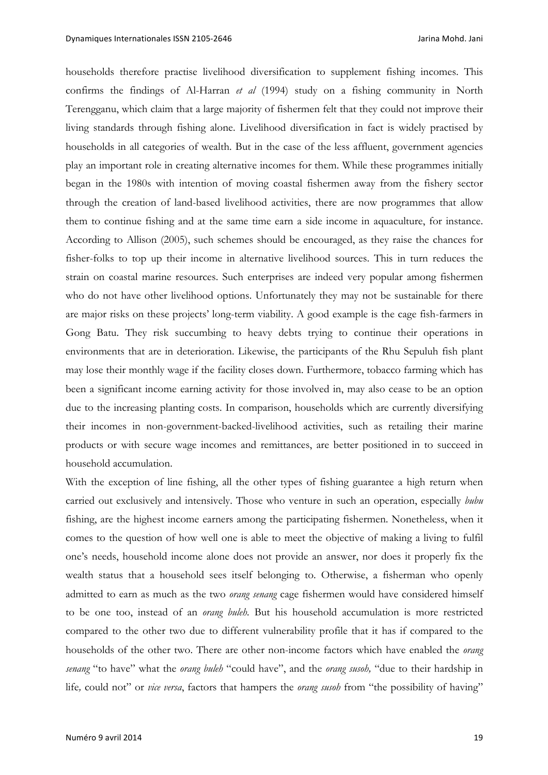households therefore practise livelihood diversification to supplement fishing incomes. This confirms the findings of Al-Harran *et al* (1994) study on a fishing community in North Terengganu, which claim that a large majority of fishermen felt that they could not improve their living standards through fishing alone. Livelihood diversification in fact is widely practised by households in all categories of wealth. But in the case of the less affluent, government agencies play an important role in creating alternative incomes for them. While these programmes initially began in the 1980s with intention of moving coastal fishermen away from the fishery sector through the creation of land-based livelihood activities, there are now programmes that allow them to continue fishing and at the same time earn a side income in aquaculture, for instance. According to Allison (2005), such schemes should be encouraged, as they raise the chances for fisher-folks to top up their income in alternative livelihood sources. This in turn reduces the strain on coastal marine resources. Such enterprises are indeed very popular among fishermen who do not have other livelihood options. Unfortunately they may not be sustainable for there are major risks on these projects' long-term viability. A good example is the cage fish-farmers in Gong Batu. They risk succumbing to heavy debts trying to continue their operations in environments that are in deterioration. Likewise, the participants of the Rhu Sepuluh fish plant may lose their monthly wage if the facility closes down. Furthermore, tobacco farming which has been a significant income earning activity for those involved in, may also cease to be an option due to the increasing planting costs. In comparison, households which are currently diversifying their incomes in non-government-backed-livelihood activities, such as retailing their marine products or with secure wage incomes and remittances, are better positioned in to succeed in household accumulation.

With the exception of line fishing, all the other types of fishing guarantee a high return when carried out exclusively and intensively. Those who venture in such an operation, especially *bubu* fishing, are the highest income earners among the participating fishermen. Nonetheless, when it comes to the question of how well one is able to meet the objective of making a living to fulfil one's needs, household income alone does not provide an answer, nor does it properly fix the wealth status that a household sees itself belonging to. Otherwise, a fisherman who openly admitted to earn as much as the two *orang senang* cage fishermen would have considered himself to be one too, instead of an *orang buleh.* But his household accumulation is more restricted compared to the other two due to different vulnerability profile that it has if compared to the households of the other two. There are other non-income factors which have enabled the *orang senang* "to have" what the *orang buleh* "could have", and the *orang susoh,* "due to their hardship in life*,* could not" or *vice versa*, factors that hampers the *orang susoh* from "the possibility of having"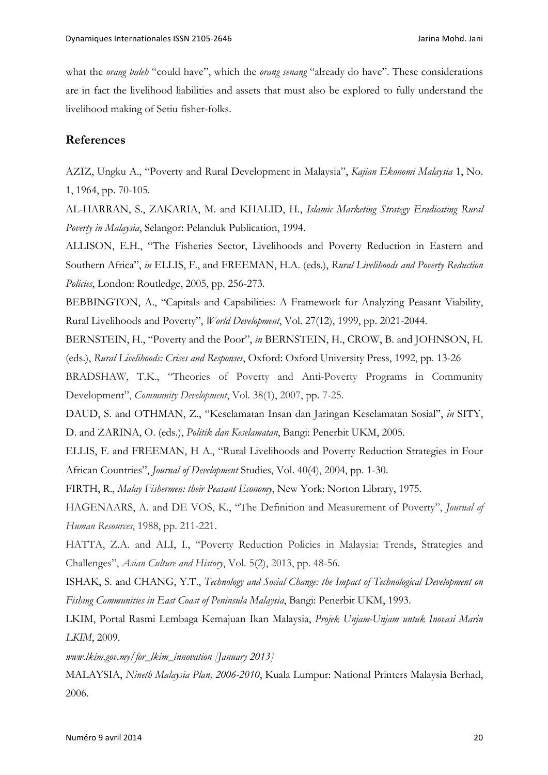what the *orang buleh* "could have", which the *orang senang* "already do have". These considerations are in fact the livelihood liabilities and assets that must also be explored to fully understand the livelihood making of Setiu fisher-folks.

#### **References**

AZIZ, Ungku A., "Poverty and Rural Development in Malaysia", *Kajian Ekonomi Malaysia* 1, No. 1, 1964, pp. 70-105.

AL-HARRAN, S., ZAKARIA, M. and KHALID, H., *Islamic Marketing Strategy Eradicating Rural Poverty in Malaysia*, Selangor: Pelanduk Publication, 1994.

ALLISON, E.H., "The Fisheries Sector, Livelihoods and Poverty Reduction in Eastern and Southern Africa", *in* ELLIS, F., and FREEMAN, H.A. (eds.), *Rural Livelihoods and Poverty Reduction Policies*, London: Routledge, 2005, pp. 256-273.

BEBBINGTON, A., "Capitals and Capabilities: A Framework for Analyzing Peasant Viability, Rural Livelihoods and Poverty", *World Development*, Vol. 27(12), 1999, pp. 2021-2044.

BERNSTEIN, H., "Poverty and the Poor", *in* BERNSTEIN, H., CROW, B. and JOHNSON, H. (eds.), *Rural Livelihoods: Crises and Responses*, Oxford: Oxford University Press, 1992, pp. 13-26

BRADSHAW, T.K., "Theories of Poverty and Anti-Poverty Programs in Community Development", *Community Development*, Vol. 38(1), 2007, pp. 7-25.

DAUD, S. and OTHMAN, Z., "Keselamatan Insan dan Jaringan Keselamatan Sosial", *in* SITY, D. and ZARINA, O. (eds.), *Politik dan Keselamatan*, Bangi: Penerbit UKM, 2005.

ELLIS, F. and FREEMAN, H A., "Rural Livelihoods and Poverty Reduction Strategies in Four African Countries", *Journal of Development* Studies, Vol. 40(4), 2004, pp. 1-30.

FIRTH, R., *Malay Fishermen: their Peasant Economy*, New York: Norton Library, 1975.

HAGENAARS, A. and DE VOS, K., "The Definition and Measurement of Poverty", *Journal of Human Resources*, 1988, pp. 211-221.

HATTA, Z.A. and ALI, I., "Poverty Reduction Policies in Malaysia: Trends, Strategies and Challenges", *Asian Culture and History*, Vol. 5(2), 2013, pp. 48-56.

ISHAK, S. and CHANG, Y.T., *Technology and Social Change: the Impact of Technological Development on Fishing Communities in East Coast of Peninsula Malaysia*, Bangi: Penerbit UKM, 1993.

LKIM, Portal Rasmi Lembaga Kemajuan Ikan Malaysia, *Projek Unjam-Unjam untuk Inovasi Marin LKIM*, 2009.

*www.lkim.gov.my/for\_lkim\_innovation [January 2013]*

MALAYSIA, *Nineth Malaysia Plan, 2006-2010*, Kuala Lumpur: National Printers Malaysia Berhad, 2006.